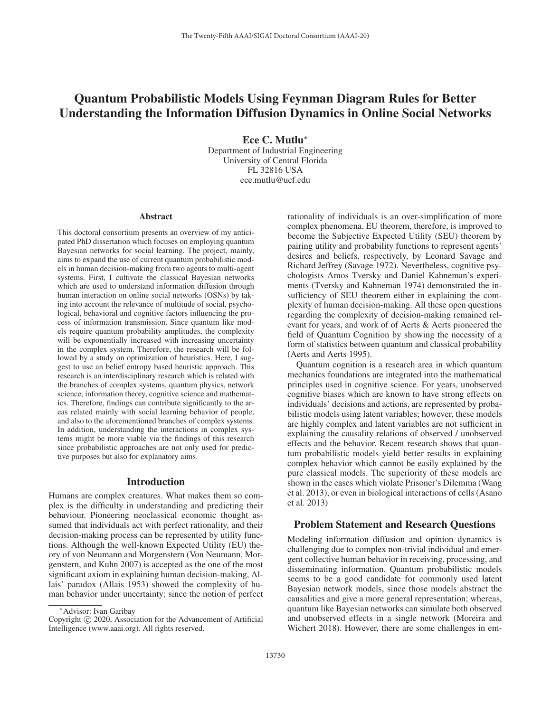# Quantum Probabilistic Models Using Feynman Diagram Rules for Better Understanding the Information Diffusion Dynamics in Online Social Networks

Ece C. Mutlu<sup>∗</sup> Department of Industrial Engineering University of Central Florida FL 32816 USA ece.mutlu@ucf.edu

#### Abstract

This doctoral consortium presents an overview of my anticipated PhD dissertation which focuses on employing quantum Bayesian networks for social learning. The project, mainly, aims to expand the use of current quantum probabilistic models in human decision-making from two agents to multi-agent systems. First, I cultivate the classical Bayesian networks which are used to understand information diffusion through human interaction on online social networks (OSNs) by taking into account the relevance of multitude of social, psychological, behavioral and cognitive factors influencing the process of information transmission. Since quantum like models require quantum probability amplitudes, the complexity will be exponentially increased with increasing uncertainty in the complex system. Therefore, the research will be followed by a study on optimization of heuristics. Here, I suggest to use an belief entropy based heuristic approach. This research is an interdisciplinary research which is related with the branches of complex systems, quantum physics, network science, information theory, cognitive science and mathematics. Therefore, findings can contribute significantly to the areas related mainly with social learning behavior of people, and also to the aforementioned branches of complex systems. In addition, understanding the interactions in complex systems might be more viable via the findings of this research since probabilistic approaches are not only used for predictive purposes but also for explanatory aims.

#### Introduction

Humans are complex creatures. What makes them so complex is the difficulty in understanding and predicting their behaviour. Pioneering neoclassical economic thought assumed that individuals act with perfect rationality, and their decision-making process can be represented by utility functions. Although the well-known Expected Utility (EU) theory of von Neumann and Morgenstern (Von Neumann, Morgenstern, and Kuhn 2007) is accepted as the one of the most significant axiom in explaining human decision-making, Allais' paradox (Allais 1953) showed the complexity of human behavior under uncertainty; since the notion of perfect rationality of individuals is an over-simplification of more complex phenomena. EU theorem, therefore, is improved to become the Subjective Expected Utility (SEU) theorem by pairing utility and probability functions to represent agents' desires and beliefs, respectively, by Leonard Savage and Richard Jeffrey (Savage 1972). Nevertheless, cognitive psychologists Amos Tversky and Daniel Kahneman's experiments (Tversky and Kahneman 1974) demonstrated the insufficiency of SEU theorem either in explaining the complexity of human decision-making. All these open questions regarding the complexity of decision-making remained relevant for years, and work of of Aerts & Aerts pioneered the field of Quantum Cognition by showing the necessity of a form of statistics between quantum and classical probability (Aerts and Aerts 1995).

Quantum cognition is a research area in which quantum mechanics foundations are integrated into the mathematical principles used in cognitive science. For years, unobserved cognitive biases which are known to have strong effects on individuals' decisions and actions, are represented by probabilistic models using latent variables; however, these models are highly complex and latent variables are not sufficient in explaining the causality relations of observed / unobserved effects and the behavior. Recent research shows that quantum probabilistic models yield better results in explaining complex behavior which cannot be easily explained by the pure classical models. The superiority of these models are shown in the cases which violate Prisoner's Dilemma (Wang et al. 2013), or even in biological interactions of cells (Asano et al. 2013)

#### Problem Statement and Research Questions

Modeling information diffusion and opinion dynamics is challenging due to complex non-trivial individual and emergent collective human behavior in receiving, processing, and disseminating information. Quantum probabilistic models seems to be a good candidate for commonly used latent Bayesian network models, since those models abstract the causalities and give a more general representation; whereas, quantum like Bayesian networks can simulate both observed and unobserved effects in a single network (Moreira and Wichert 2018). However, there are some challenges in em-

<sup>∗</sup>Advisor: Ivan Garibay

Copyright  $\odot$  2020, Association for the Advancement of Artificial Intelligence (www.aaai.org). All rights reserved.